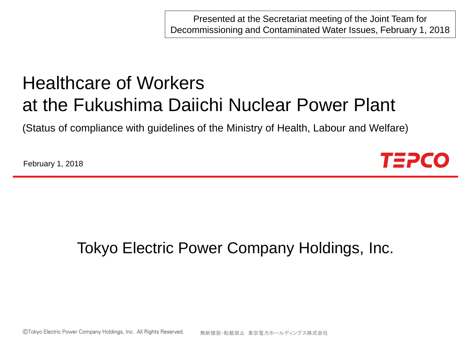Presented at the Secretariat meeting of the Joint Team for Decommissioning and Contaminated Water Issues, February 1, 2018

# Healthcare of Workers at the Fukushima Daiichi Nuclear Power Plant

(Status of compliance with guidelines of the Ministry of Health, Labour and Welfare)

February 1, 2018



## Tokyo Electric Power Company Holdings, Inc.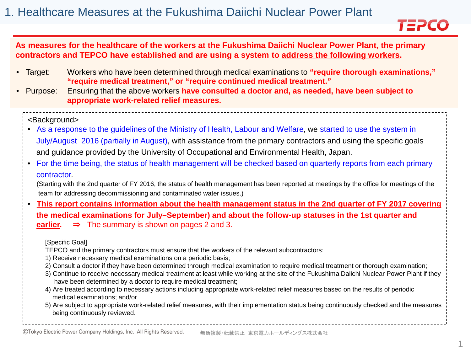

#### **As measures for the healthcare of the workers at the Fukushima Daiichi Nuclear Power Plant, the primary contractors and TEPCO have established and are using a system to address the following workers.**

- Target: Workers who have been determined through medical examinations to **"require thorough examinations," "require medical treatment," or "require continued medical treatment."**
- Purpose: Ensuring that the above workers **have consulted a doctor and, as needed, have been subject to appropriate work-related relief measures.**

#### <Background>

- As a response to the guidelines of the Ministry of Health, Labour and Welfare, we started to use the system in July/August 2016 (partially in August), with assistance from the primary contractors and using the specific goals and guidance provided by the University of Occupational and Environmental Health, Japan.
- For the time being, the status of health management will be checked based on quarterly reports from each primary contractor.
	- (Starting with the 2nd quarter of FY 2016, the status of health management has been reported at meetings by the office for meetings of the team for addressing decommissioning and contaminated water issues.)
- **This report contains information about the health management status in the 2nd quarter of FY 2017 covering the medical examinations for July–September) and about the follow-up statuses in the 1st quarter and earlier.** ⇒ The summary is shown on pages 2 and 3.

#### [Specific Goal]

- TEPCO and the primary contractors must ensure that the workers of the relevant subcontractors:
- 1) Receive necessary medical examinations on a periodic basis;
- 2) Consult a doctor if they have been determined through medical examination to require medical treatment or thorough examination;
- 3) Continue to receive necessary medical treatment at least while working at the site of the Fukushima Daiichi Nuclear Power Plant if they have been determined by a doctor to require medical treatment;
- 4) Are treated according to necessary actions including appropriate work-related relief measures based on the results of periodic medical examinations; and/or
- 5) Are subject to appropriate work-related relief measures, with their implementation status being continuously checked and the measures being continuously reviewed.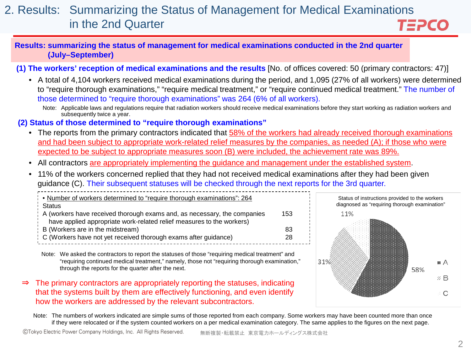#### 2. Results: Summarizing the Status of Management for Medical Examinations in the 2nd Quarter TEPCO

**Results: summarizing the status of management for medical examinations conducted in the 2nd quarter (July–September)**

**(1) The workers' reception of medical examinations and the results** [No. of offices covered: 50 (primary contractors: 47)]

- A total of 4,104 workers received medical examinations during the period, and 1,095 (27% of all workers) were determined to "require thorough examinations," "require medical treatment," or "require continued medical treatment." The number of those determined to "require thorough examinations" was 264 (6% of all workers).
	- Note: Applicable laws and regulations require that radiation workers should receive medical examinations before they start working as radiation workers and subsequently twice a year.

#### **(2) Status of those determined to "require thorough examinations"**

- The reports from the primary contractors indicated that 58% of the workers had already received thorough examinations and had been subject to appropriate work-related relief measures by the companies, as needed (A); if those who were expected to be subject to appropriate measures soon (B) were included, the achievement rate was 89%.
- All contractors are appropriately implementing the guidance and management under the established system.
- 11% of the workers concerned replied that they had not received medical examinations after they had been given guidance (C). Their subsequent statuses will be checked through the next reports for the 3rd quarter.

| Number of workers determined to "require thorough examinations": 264                                      |     |
|-----------------------------------------------------------------------------------------------------------|-----|
| : Status<br>A (workers have received thorough exams and, as necessary, the companies                      | 153 |
| have applied appropriate work-related relief measures to the workers)<br>B (Workers are in the midstream) | 83  |
| C (Workers have not yet received thorough exams after guidance)                                           | 28  |

Note: We asked the contractors to report the statuses of those "requiring medical treatment" and "requiring continued medical treatment," namely, those not "requiring thorough examination," through the reports for the quarter after the next.

⇒ The primary contractors are appropriately reporting the statuses, indicating that the systems built by them are effectively functioning, and even identify how the workers are addressed by the relevant subcontractors.



Note: The numbers of workers indicated are simple sums of those reported from each company. Some workers may have been counted more than once if they were relocated or if the system counted workers on a per medical examination category. The same applies to the figures on the next page.